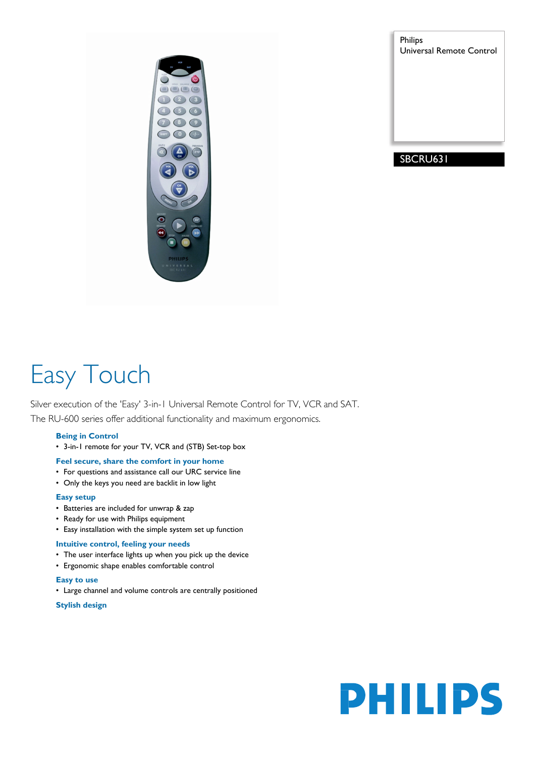

Philips Universal Remote Control

# SBCRU631

# Easy Touch

Silver execution of the 'Easy' 3-in-1 Universal Remote Control for TV, VCR and SAT. The RU-600 series offer additional functionality and maximum ergonomics.

# **Being in Control**

• 3-in-1 remote for your TV, VCR and (STB) Set-top box

# **Feel secure, share the comfort in your home**

- For questions and assistance call our URC service line
- Only the keys you need are backlit in low light

# **Easy setup**

- Batteries are included for unwrap & zap
- Ready for use with Philips equipment
- Easy installation with the simple system set up function

# **Intuitive control, feeling your needs**

- The user interface lights up when you pick up the device
- Ergonomic shape enables comfortable control

#### **Easy to use**

• Large channel and volume controls are centrally positioned

**Stylish design**